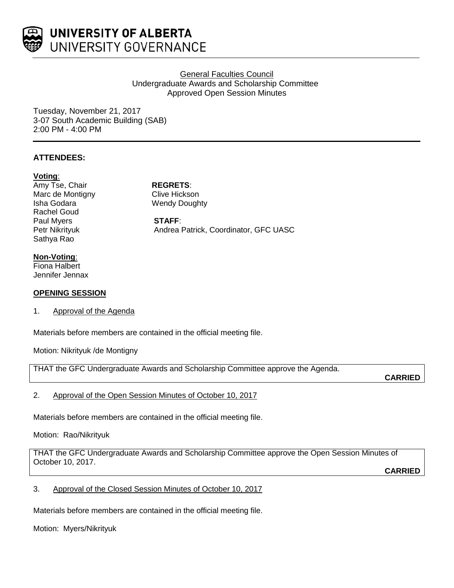

**General Faculties Council** Undergraduate Awards and Scholarship Committee Approved Open Session Minutes

Tuesday, November 21, 2017 3-07 South Academic Building (SAB) 2:00 PM - 4:00 PM

## **ATTENDEES:**

#### **Voting**:

Amy Tse, Chair **REGRETS**: Marc de Montigny **Clive Hickson** Isha Godara Wendy Doughty Rachel Goud Paul Myers **STAFF**:<br>
Petr Nikrityuk **Mandrea** Sathya Rao

Andrea Patrick, Coordinator, GFC UASC

## **Non-Voting**:

Fiona Halbert Jennifer Jennax

#### **OPENING SESSION**

1. Approval of the Agenda

Materials before members are contained in the official meeting file.

Motion: Nikrityuk /de Montigny

THAT the GFC Undergraduate Awards and Scholarship Committee approve the Agenda.

**CARRIED**

2. Approval of the Open Session Minutes of October 10, 2017

Materials before members are contained in the official meeting file.

Motion: Rao/Nikrityuk

THAT the GFC Undergraduate Awards and Scholarship Committee approve the Open Session Minutes of October 10, 2017.

**CARRIED**

3. Approval of the Closed Session Minutes of October 10, 2017

Materials before members are contained in the official meeting file.

Motion: Myers/Nikrityuk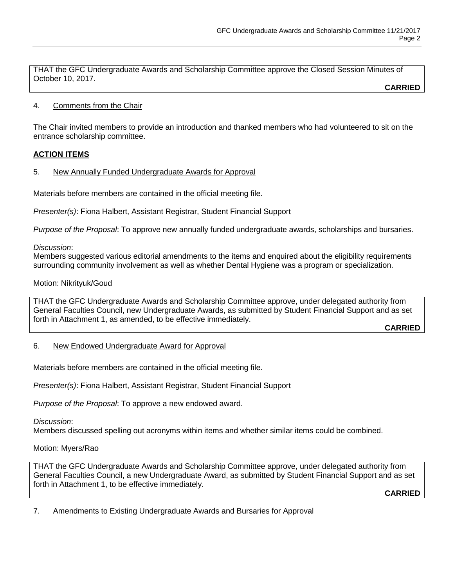THAT the GFC Undergraduate Awards and Scholarship Committee approve the Closed Session Minutes of October 10, 2017.

**CARRIED**

## 4. Comments from the Chair

The Chair invited members to provide an introduction and thanked members who had volunteered to sit on the entrance scholarship committee.

## **ACTION ITEMS**

5. New Annually Funded Undergraduate Awards for Approval

Materials before members are contained in the official meeting file.

*Presenter(s)*: Fiona Halbert, Assistant Registrar, Student Financial Support

*Purpose of the Proposal*: To approve new annually funded undergraduate awards, scholarships and bursaries.

## *Discussion*:

Members suggested various editorial amendments to the items and enquired about the eligibility requirements surrounding community involvement as well as whether Dental Hygiene was a program or specialization.

## Motion: Nikrityuk/Goud

THAT the GFC Undergraduate Awards and Scholarship Committee approve, under delegated authority from General Faculties Council, new Undergraduate Awards, as submitted by Student Financial Support and as set forth in Attachment 1, as amended, to be effective immediately.

**CARRIED**

## 6. New Endowed Undergraduate Award for Approval

Materials before members are contained in the official meeting file.

*Presenter(s)*: Fiona Halbert, Assistant Registrar, Student Financial Support

*Purpose of the Proposal*: To approve a new endowed award.

*Discussion*:

Members discussed spelling out acronyms within items and whether similar items could be combined.

## Motion: Myers/Rao

THAT the GFC Undergraduate Awards and Scholarship Committee approve, under delegated authority from General Faculties Council, a new Undergraduate Award, as submitted by Student Financial Support and as set forth in Attachment 1, to be effective immediately.

**CARRIED**

7. Amendments to Existing Undergraduate Awards and Bursaries for Approval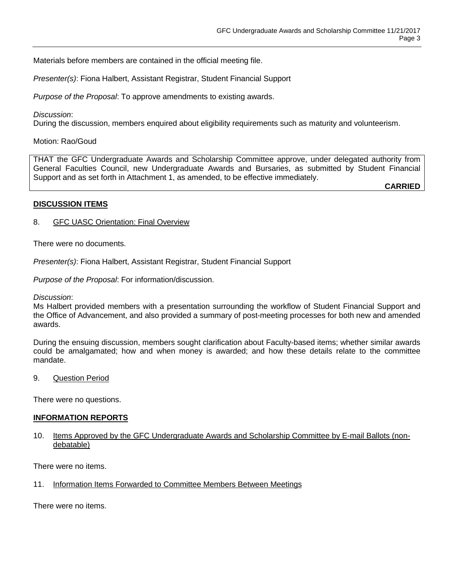Materials before members are contained in the official meeting file.

*Presenter(s)*: Fiona Halbert, Assistant Registrar, Student Financial Support

*Purpose of the Proposal*: To approve amendments to existing awards.

#### *Discussion*:

During the discussion, members enquired about eligibility requirements such as maturity and volunteerism.

#### Motion: Rao/Goud

THAT the GFC Undergraduate Awards and Scholarship Committee approve, under delegated authority from General Faculties Council, new Undergraduate Awards and Bursaries, as submitted by Student Financial Support and as set forth in Attachment 1, as amended, to be effective immediately.

**CARRIED**

#### **DISCUSSION ITEMS**

8. GFC UASC Orientation: Final Overview

There were no documents.

*Presenter(s)*: Fiona Halbert, Assistant Registrar, Student Financial Support

*Purpose of the Proposal*: For information/discussion.

*Discussion*:

Ms Halbert provided members with a presentation surrounding the workflow of Student Financial Support and the Office of Advancement, and also provided a summary of post-meeting processes for both new and amended awards.

During the ensuing discussion, members sought clarification about Faculty-based items; whether similar awards could be amalgamated; how and when money is awarded; and how these details relate to the committee mandate.

9. Question Period

There were no questions.

#### **INFORMATION REPORTS**

10. Items Approved by the GFC Undergraduate Awards and Scholarship Committee by E-mail Ballots (nondebatable)

There were no items.

11. Information Items Forwarded to Committee Members Between Meetings

There were no items.